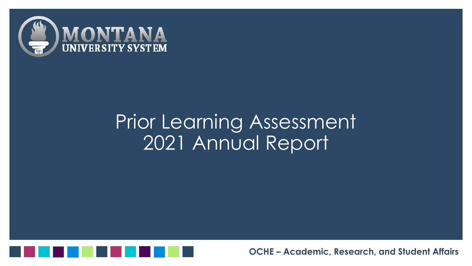

## Prior Learning Assessment 2021 Annual Report

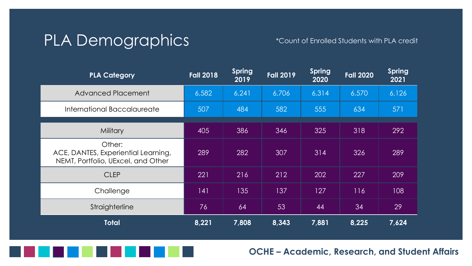## PLA Demographics \*Count of Enrolled Students with PLA credit

| <b>PLA Category</b>                                                                 | <b>Fall 2018</b> | <b>Spring</b><br>2019 | <b>Fall 2019</b> | <b>Spring</b><br>2020 | <b>Fall 2020</b> | <b>Spring</b><br>2021 |
|-------------------------------------------------------------------------------------|------------------|-----------------------|------------------|-----------------------|------------------|-----------------------|
| <b>Advanced Placement</b>                                                           | 6,582            | 6,241                 | 6,706            | 6,314                 | 6.570            | 6,126                 |
| International Baccalaureate                                                         | 507              | 484                   | 582              | 555                   | 634              | 571                   |
| <b>Military</b>                                                                     | 405              | 386                   | 346              | 325                   | 318              | 292                   |
| Other:<br>ACE, DANTES, Experiential Learning,<br>NEMT, Portfolio, UExcel, and Other | 289              | 282                   | 307              | 314                   | 326              | 289                   |
| <b>CLEP</b>                                                                         | 221              | 216                   | 212              | 202                   | 227              | 209                   |
| Challenge                                                                           | 141              | 135                   | 137              | 127                   | 116              | 108                   |
| Straighterline                                                                      | 76               | 64                    | 53               | 44                    | 34               | 29                    |
| <b>Total</b>                                                                        | 8,221            | 7,808                 | 8,343            | 7,881                 | 8,225            | 7,624                 |

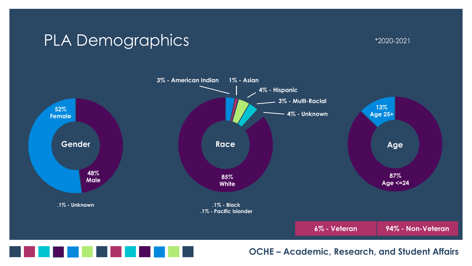### PLA Demographics  $\text{PLA}$



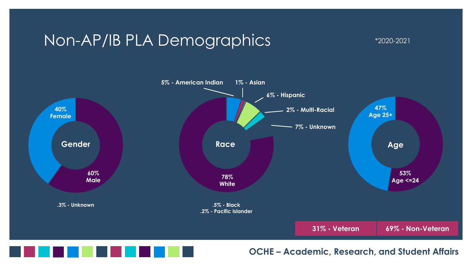#### Non-AP/IB PLA Demographics \*2020-2021





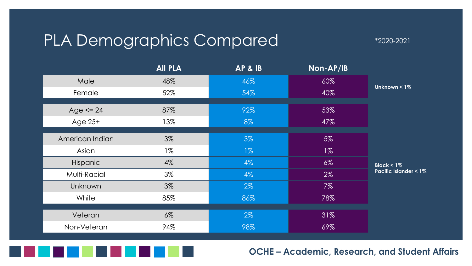### PLA Demographics Compared  $^{*_{2020-2021}}$

|                 | <b>All PLA</b> | <b>AP &amp; IB</b> | Non-AP/IB |                                 |
|-----------------|----------------|--------------------|-----------|---------------------------------|
| Male            | 48%            | 46%                | 60%       |                                 |
| Female          | 52%            | 54%                | 40%       | Unknown $< 1\%$                 |
|                 |                |                    |           |                                 |
| Age $\leq$ 24   | 87%            | 92%                | 53%       |                                 |
| Age $25+$       | 13%            | 8%                 | 47%       |                                 |
|                 |                |                    |           |                                 |
| American Indian | 3%             | 3%                 | $5\%$     |                                 |
| Asian           | $1\%$          | $1\%$              | $1\%$     |                                 |
| Hispanic        | 4%             | $4\%$              | $6\%$     | Black < $1\%$                   |
| Multi-Racial    | 3%             | $4\%$              | $2\%$     | <b>Pacific Islander &lt; 1%</b> |
| Unknown         | 3%             | $2\%$              | $7\%$     |                                 |
| White           | 85%            | 86%                | 78%       |                                 |
|                 |                |                    |           |                                 |
| Veteran         | $6\%$          | $2\%$              | 31%       |                                 |
| Non-Veteran     | 94%            | 98%                | 69%       |                                 |

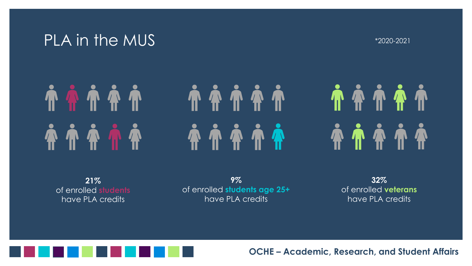#### PLA in the MUS  $^{*2020-2021}$

# **TOTT**

# 

**A A A A A** 

**21%** of enrolled **students** have PLA credits

**9%** of enrolled **students age 25+** have PLA credits

**32%** of enrolled **veterans** have PLA credits

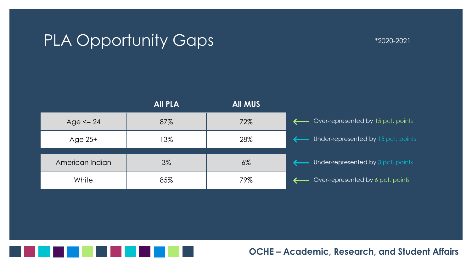### PLA Opportunity Gaps  $\blacksquare$  \*2020-2021